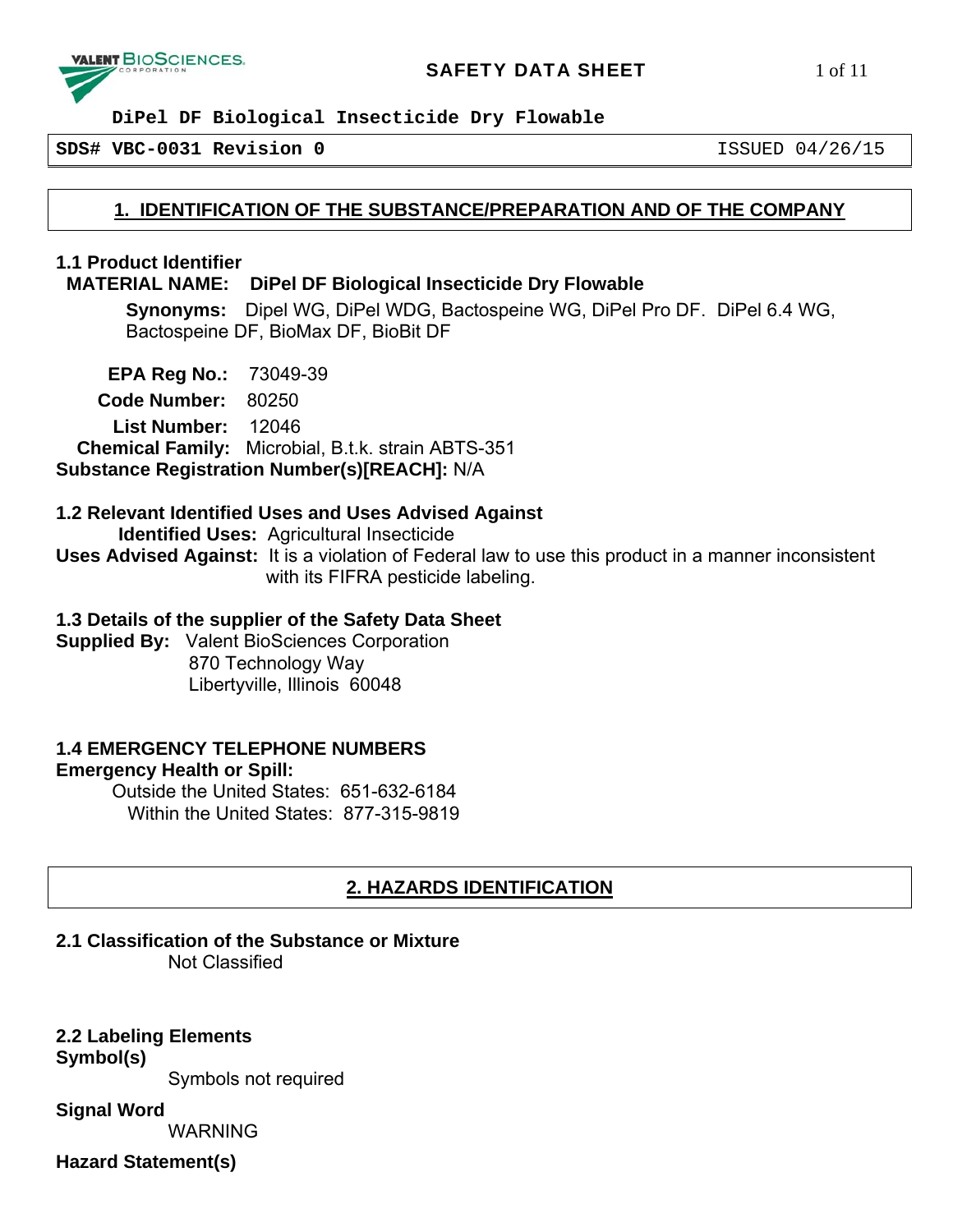

**SDS# VBC-0031 Revision 0** ISSUED 04/26/15

# **1. IDENTIFICATION OF THE SUBSTANCE/PREPARATION AND OF THE COMPANY**

### **1.1 Product Identifier**

#### **MATERIAL NAME: DiPel DF Biological Insecticide Dry Flowable**

**Synonyms:** Dipel WG, DiPel WDG, Bactospeine WG, DiPel Pro DF. DiPel 6.4 WG, Bactospeine DF, BioMax DF, BioBit DF

 **EPA Reg No.:** 73049-39 **Code Number:** 80250 **List Number:** 12046  **Chemical Family:** Microbial, B.t.k. strain ABTS-351 **Substance Registration Number(s)[REACH]:** N/A

## **1.2 Relevant Identified Uses and Uses Advised Against**

 **Identified Uses:** Agricultural Insecticide

**Uses Advised Against:** It is a violation of Federal law to use this product in a manner inconsistent with its FIFRA pesticide labeling.

#### **1.3 Details of the supplier of the Safety Data Sheet**

**Supplied By:** Valent BioSciences Corporation 870 Technology Way Libertyville, Illinois 60048

#### **1.4 EMERGENCY TELEPHONE NUMBERS Emergency Health or Spill:**

Outside the United States: 651-632-6184 Within the United States: 877-315-9819

# **2. HAZARDS IDENTIFICATION**

#### **2.1 Classification of the Substance or Mixture**

Not Classified

**2.2 Labeling Elements Symbol(s)**

Symbols not required

**Signal Word** 

WARNING

**Hazard Statement(s)**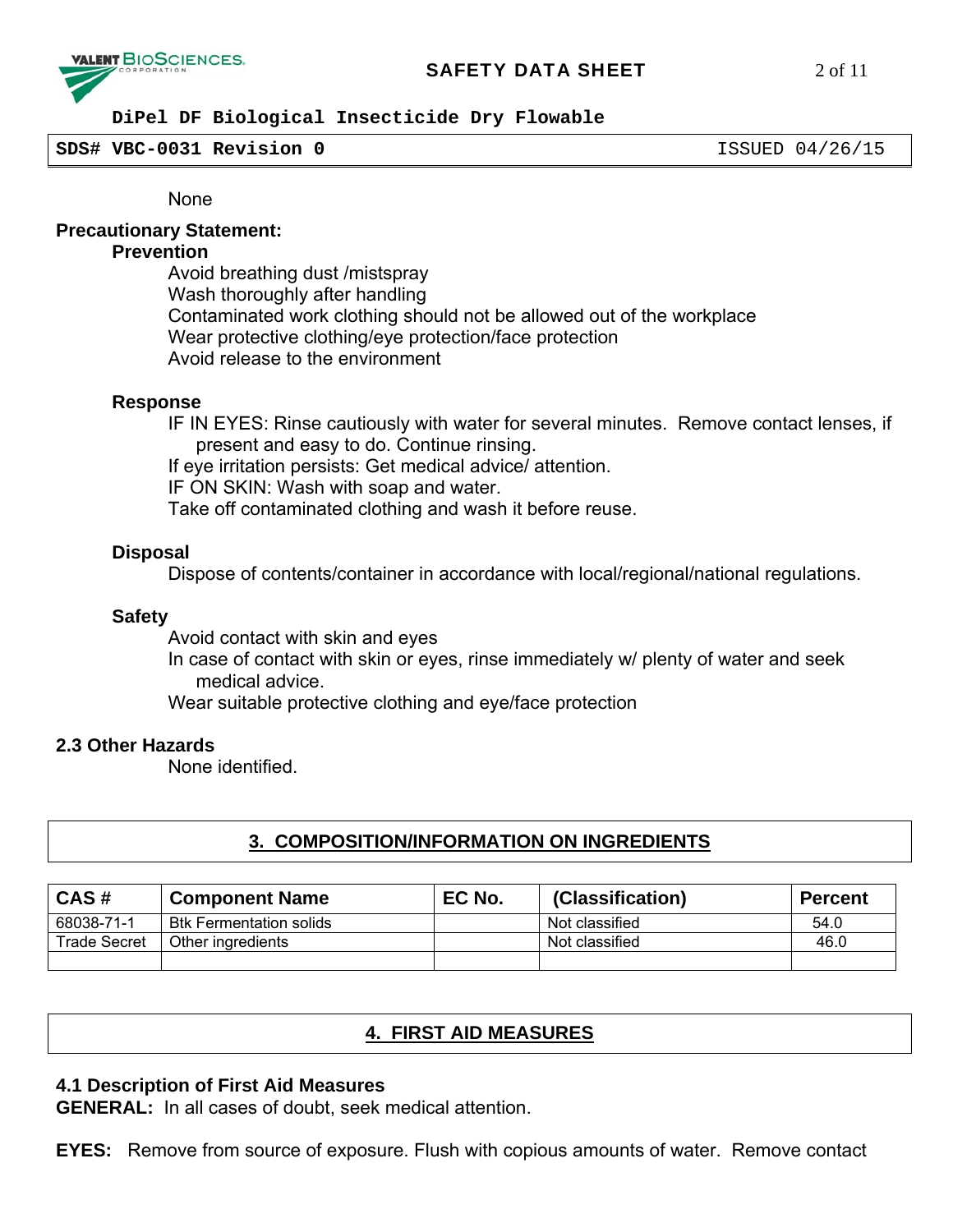

# **SAFETY DATA SHEET** 2 of 11

#### **DiPel DF Biological Insecticide Dry Flowable**

**SDS# VBC-0031 Revision 0** ISSUED 04/26/15

None

#### **Precautionary Statement:**

#### **Prevention**

 Avoid breathing dust /mistspray Wash thoroughly after handling Contaminated work clothing should not be allowed out of the workplace Wear protective clothing/eye protection/face protection Avoid release to the environment

#### **Response**

IF IN EYES: Rinse cautiously with water for several minutes. Remove contact lenses, if present and easy to do. Continue rinsing. If eye irritation persists: Get medical advice/ attention. IF ON SKIN: Wash with soap and water. Take off contaminated clothing and wash it before reuse.

#### **Disposal**

Dispose of contents/container in accordance with local/regional/national regulations.

#### **Safety**

Avoid contact with skin and eyes

In case of contact with skin or eyes, rinse immediately w/ plenty of water and seek medical advice.

Wear suitable protective clothing and eye/face protection

#### **2.3 Other Hazards**

None identified.

# **3. COMPOSITION/INFORMATION ON INGREDIENTS**

| CAS#                | <b>Component Name</b>          | EC No. | (Classification) | <b>Percent</b> |
|---------------------|--------------------------------|--------|------------------|----------------|
| 68038-71-1          | <b>Btk Fermentation solids</b> |        | Not classified   | 54.0           |
| <b>Trade Secret</b> | Other ingredients              |        | Not classified   | 46.0           |
|                     |                                |        |                  |                |

# **4. FIRST AID MEASURES**

#### **4.1 Description of First Aid Measures**

**GENERAL:** In all cases of doubt, seek medical attention.

**EYES:** Remove from source of exposure. Flush with copious amounts of water. Remove contact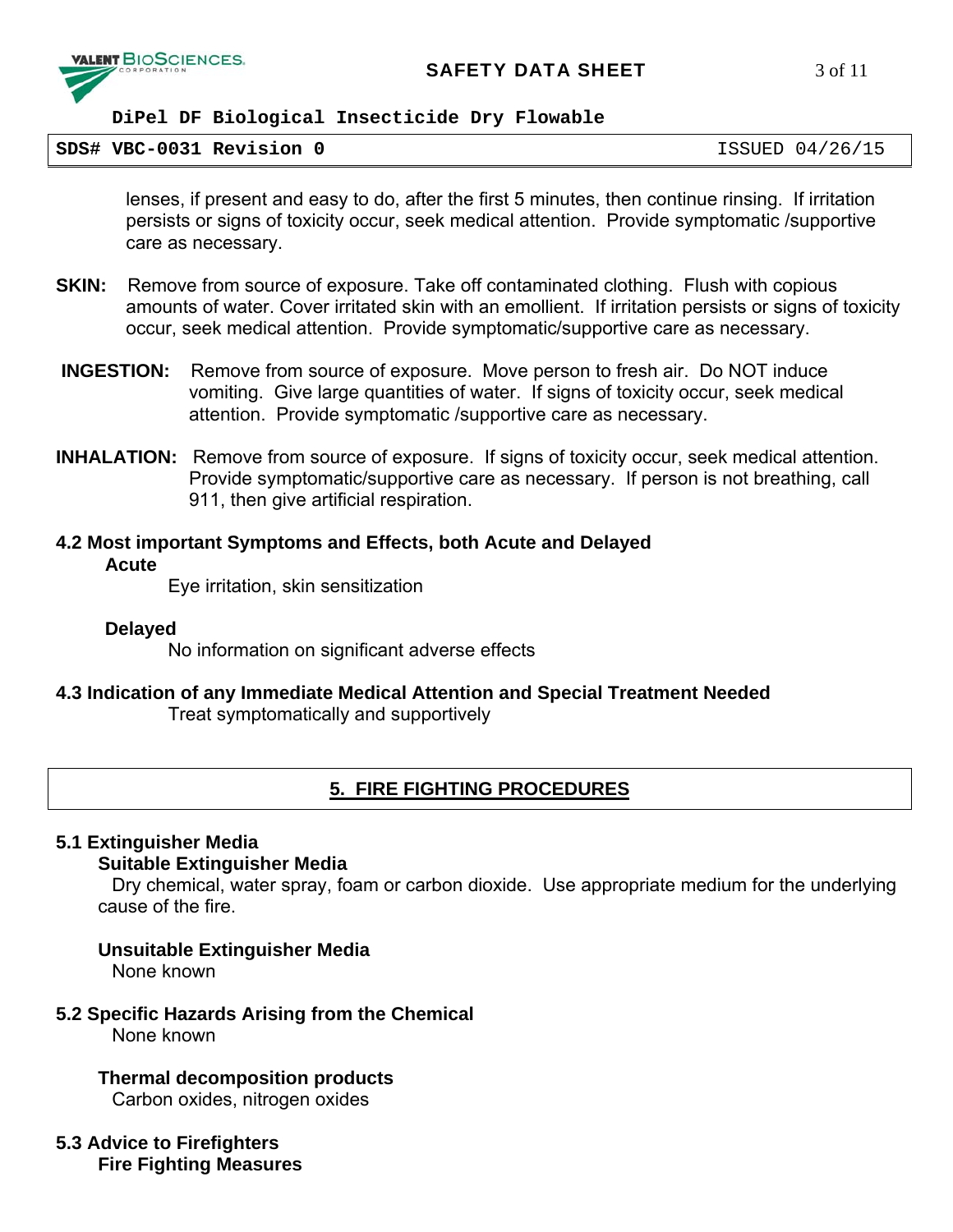

**SDS# VBC-0031 Revision 0** ISSUED 04/26/15

lenses, if present and easy to do, after the first 5 minutes, then continue rinsing. If irritation persists or signs of toxicity occur, seek medical attention. Provide symptomatic /supportive care as necessary.

- **SKIN:** Remove from source of exposure. Take off contaminated clothing. Flush with copious amounts of water. Cover irritated skin with an emollient. If irritation persists or signs of toxicity occur, seek medical attention. Provide symptomatic/supportive care as necessary.
- **INGESTION:** Remove from source of exposure. Move person to fresh air. Do NOT induce vomiting. Give large quantities of water. If signs of toxicity occur, seek medical attention. Provide symptomatic /supportive care as necessary.
- **INHALATION:** Remove from source of exposure. If signs of toxicity occur, seek medical attention. Provide symptomatic/supportive care as necessary. If person is not breathing, call 911, then give artificial respiration.
- **4.2 Most important Symptoms and Effects, both Acute and Delayed Acute**

Eye irritation, skin sensitization

#### **Delayed**

No information on significant adverse effects

# **4.3 Indication of any Immediate Medical Attention and Special Treatment Needed**

Treat symptomatically and supportively

# **5. FIRE FIGHTING PROCEDURES**

#### **5.1 Extinguisher Media**

#### **Suitable Extinguisher Media**

Dry chemical, water spray, foam or carbon dioxide. Use appropriate medium for the underlying cause of the fire.

# **Unsuitable Extinguisher Media**

None known

# **5.2 Specific Hazards Arising from the Chemical**

None known

**Thermal decomposition products** 

Carbon oxides, nitrogen oxides

## **5.3 Advice to Firefighters Fire Fighting Measures**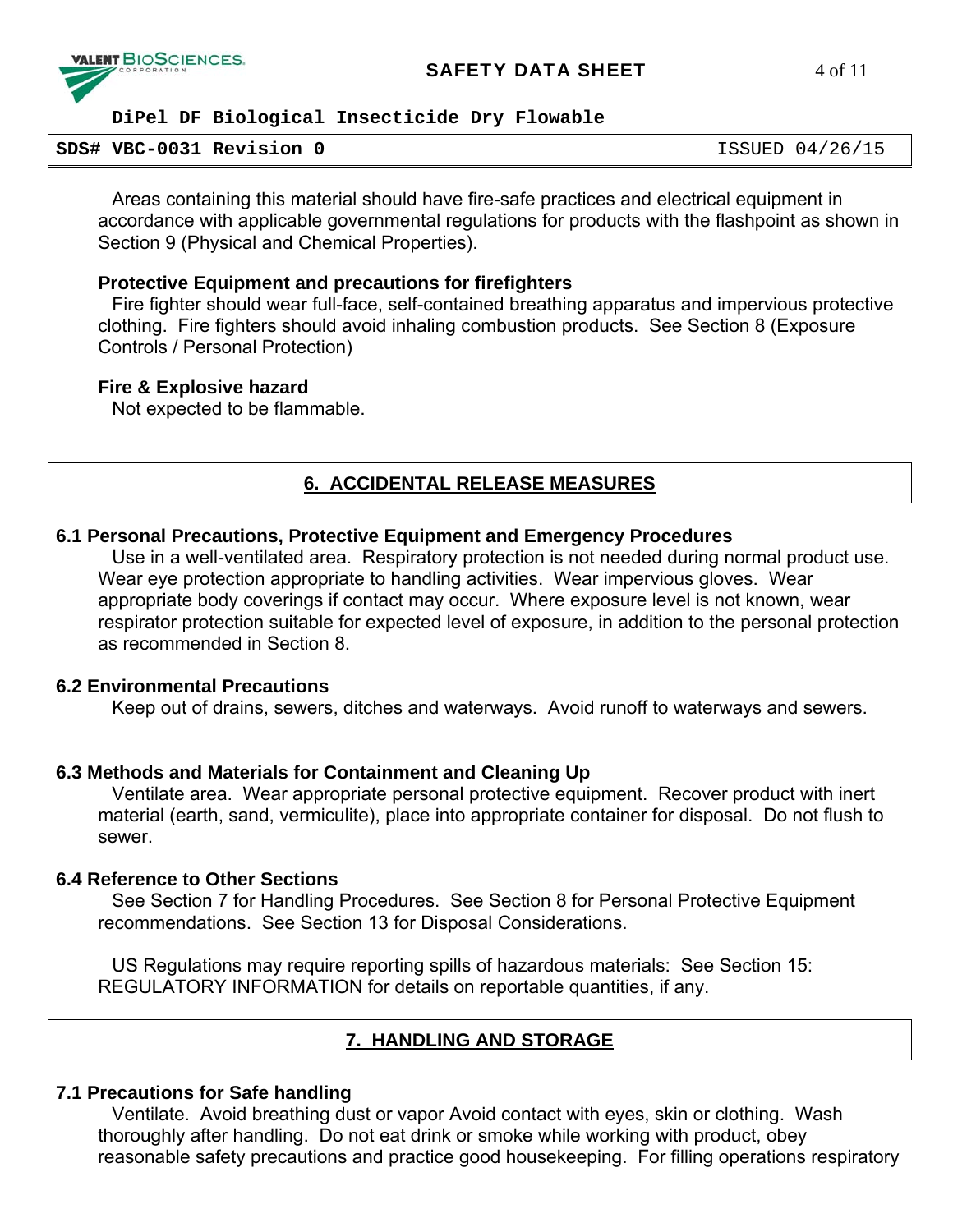

#### **SDS# VBC-0031 Revision 0** ISSUED 04/26/15

Areas containing this material should have fire-safe practices and electrical equipment in accordance with applicable governmental regulations for products with the flashpoint as shown in Section 9 (Physical and Chemical Properties).

### **Protective Equipment and precautions for firefighters**

Fire fighter should wear full-face, self-contained breathing apparatus and impervious protective clothing. Fire fighters should avoid inhaling combustion products. See Section 8 (Exposure Controls / Personal Protection)

#### **Fire & Explosive hazard**

Not expected to be flammable.

# **6. ACCIDENTAL RELEASE MEASURES**

# **6.1 Personal Precautions, Protective Equipment and Emergency Procedures**

Use in a well-ventilated area. Respiratory protection is not needed during normal product use. Wear eye protection appropriate to handling activities. Wear impervious gloves. Wear appropriate body coverings if contact may occur. Where exposure level is not known, wear respirator protection suitable for expected level of exposure, in addition to the personal protection as recommended in Section 8.

# **6.2 Environmental Precautions**

Keep out of drains, sewers, ditches and waterways. Avoid runoff to waterways and sewers.

# **6.3 Methods and Materials for Containment and Cleaning Up**

Ventilate area. Wear appropriate personal protective equipment. Recover product with inert material (earth, sand, vermiculite), place into appropriate container for disposal. Do not flush to sewer.

# **6.4 Reference to Other Sections**

See Section 7 for Handling Procedures. See Section 8 for Personal Protective Equipment recommendations. See Section 13 for Disposal Considerations.

US Regulations may require reporting spills of hazardous materials: See Section 15: REGULATORY INFORMATION for details on reportable quantities, if any.

# **7. HANDLING AND STORAGE**

# **7.1 Precautions for Safe handling**

Ventilate. Avoid breathing dust or vapor Avoid contact with eyes, skin or clothing. Wash thoroughly after handling. Do not eat drink or smoke while working with product, obey reasonable safety precautions and practice good housekeeping. For filling operations respiratory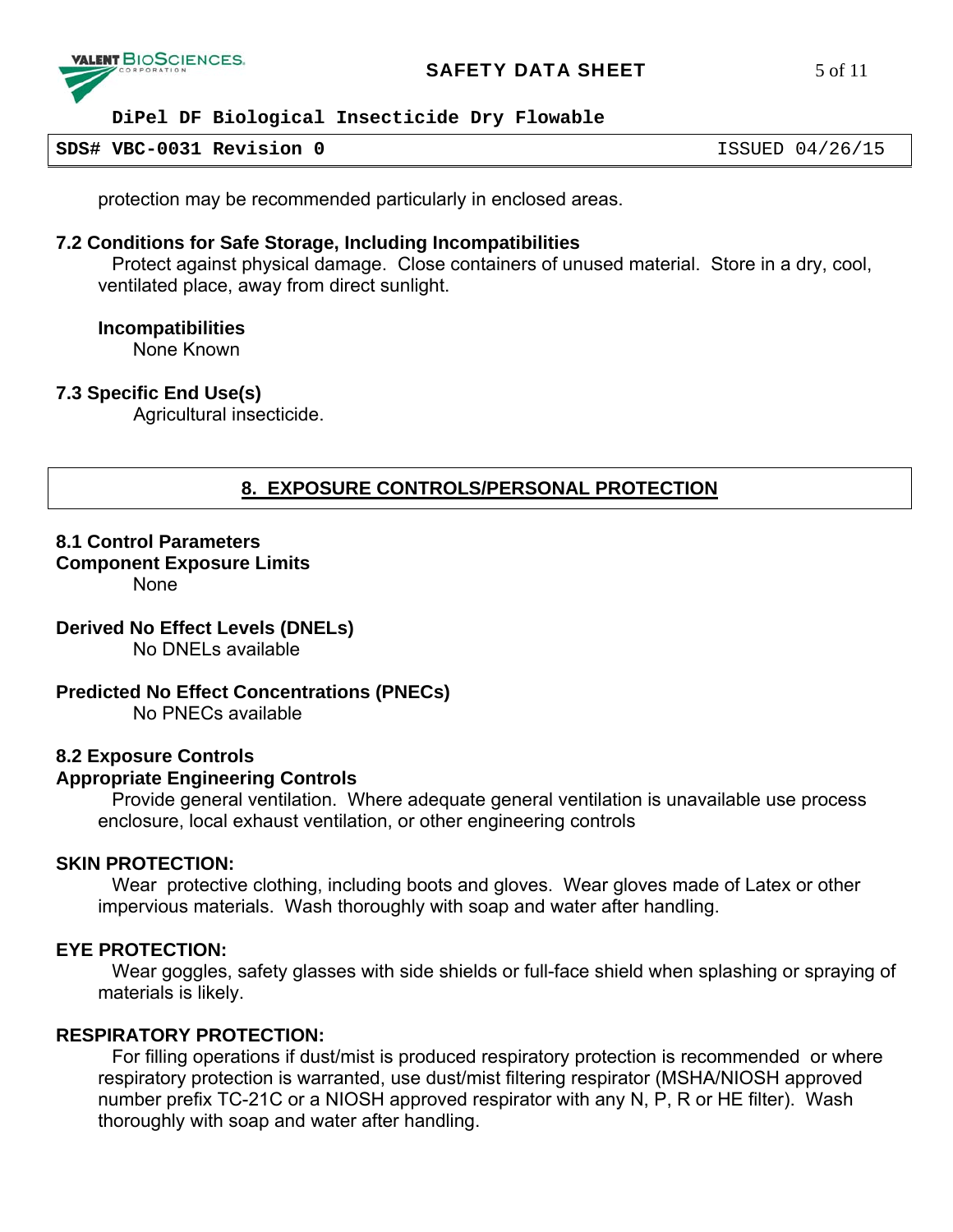

#### **SDS# VBC-0031 Revision 0** ISSUED 04/26/15

protection may be recommended particularly in enclosed areas.

#### **7.2 Conditions for Safe Storage, Including Incompatibilities**

Protect against physical damage. Close containers of unused material. Store in a dry, cool, ventilated place, away from direct sunlight.

#### **Incompatibilities**

None Known

#### **7.3 Specific End Use(s)**

Agricultural insecticide.

# **8. EXPOSURE CONTROLS/PERSONAL PROTECTION**

## **8.1 Control Parameters**

#### **Component Exposure Limits**

None

#### **Derived No Effect Levels (DNELs)**

No DNELs available

#### **Predicted No Effect Concentrations (PNECs)**

No PNECs available

#### **8.2 Exposure Controls**

#### **Appropriate Engineering Controls**

Provide general ventilation. Where adequate general ventilation is unavailable use process enclosure, local exhaust ventilation, or other engineering controls

#### **SKIN PROTECTION:**

Wear protective clothing, including boots and gloves. Wear gloves made of Latex or other impervious materials. Wash thoroughly with soap and water after handling.

#### **EYE PROTECTION:**

Wear goggles, safety glasses with side shields or full-face shield when splashing or spraying of materials is likely.

## **RESPIRATORY PROTECTION:**

For filling operations if dust/mist is produced respiratory protection is recommended or where respiratory protection is warranted, use dust/mist filtering respirator (MSHA/NIOSH approved number prefix TC-21C or a NIOSH approved respirator with any N, P, R or HE filter). Wash thoroughly with soap and water after handling.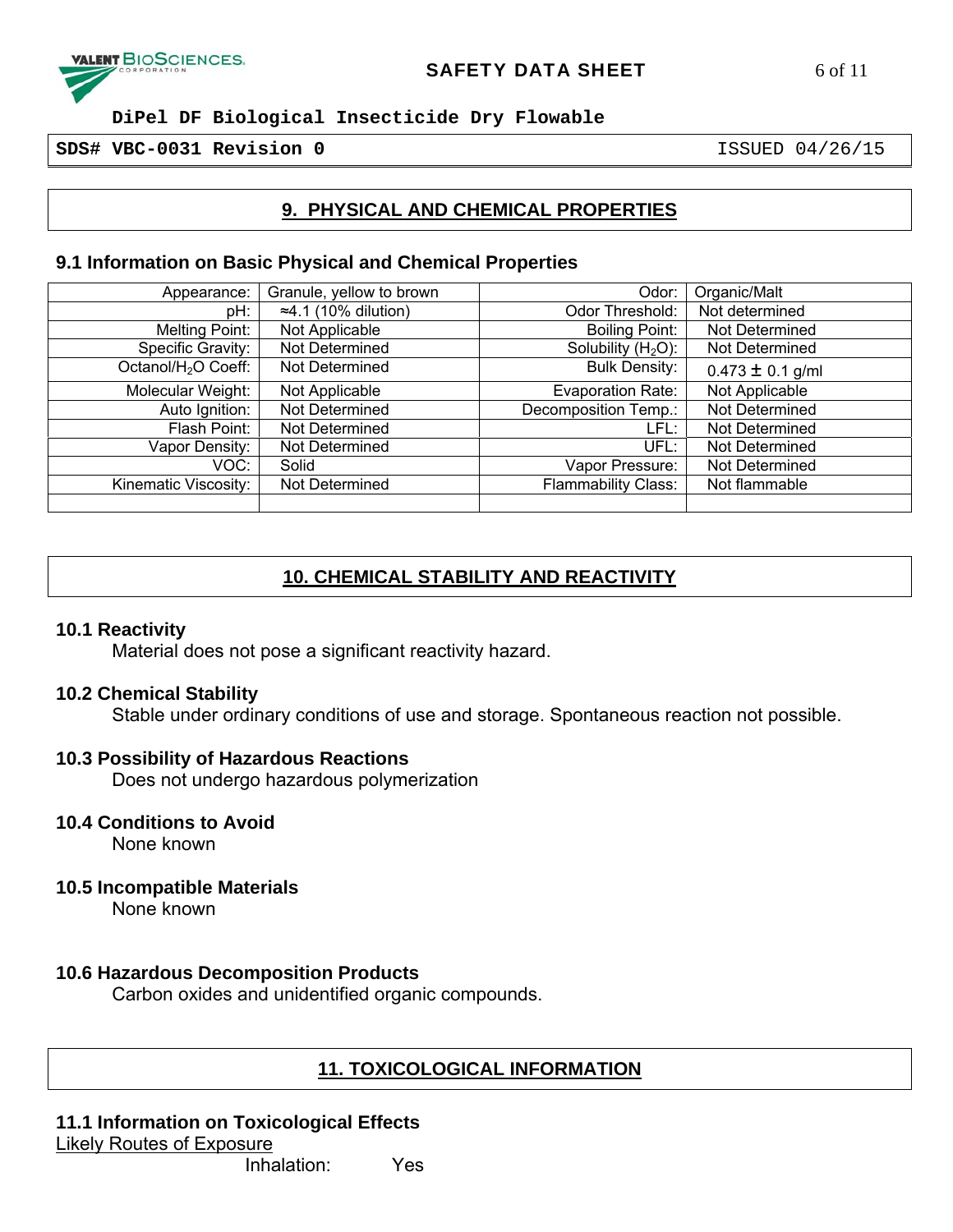

**SDS# VBC-0031 Revision 0** ISSUED 04/26/15

# **9. PHYSICAL AND CHEMICAL PROPERTIES**

## **9.1 Information on Basic Physical and Chemical Properties**

| Appearance:                     | Granule, yellow to brown     | Odor:                      | Organic/Malt         |
|---------------------------------|------------------------------|----------------------------|----------------------|
| pH:                             | $\approx$ 4.1 (10% dilution) | Odor Threshold:            | Not determined       |
| Melting Point:                  | Not Applicable               | <b>Boiling Point:</b>      | Not Determined       |
| Specific Gravity:               | Not Determined               | Solubility $(H2O)$ :       | Not Determined       |
| Octanol/H <sub>2</sub> O Coeff: | Not Determined               | <b>Bulk Density:</b>       | $0.473 \pm 0.1$ g/ml |
| Molecular Weight:               | Not Applicable               | <b>Evaporation Rate:</b>   | Not Applicable       |
| Auto Ignition:                  | Not Determined               | Decomposition Temp.:       | Not Determined       |
| Flash Point:                    | Not Determined               | LFL:                       | Not Determined       |
| Vapor Density:                  | Not Determined               | UFL:                       | Not Determined       |
| VOC:                            | Solid                        | Vapor Pressure:            | Not Determined       |
| Kinematic Viscosity:            | Not Determined               | <b>Flammability Class:</b> | Not flammable        |
|                                 |                              |                            |                      |

# **10. CHEMICAL STABILITY AND REACTIVITY**

#### **10.1 Reactivity**

Material does not pose a significant reactivity hazard.

#### **10.2 Chemical Stability**

Stable under ordinary conditions of use and storage. Spontaneous reaction not possible.

#### **10.3 Possibility of Hazardous Reactions**

Does not undergo hazardous polymerization

**10.4 Conditions to Avoid** 

None known

**10.5 Incompatible Materials** 

None known

#### **10.6 Hazardous Decomposition Products**

Carbon oxides and unidentified organic compounds.

# **11. TOXICOLOGICAL INFORMATION**

#### **11.1 Information on Toxicological Effects**  Likely Routes of Exposure

Inhalation: Yes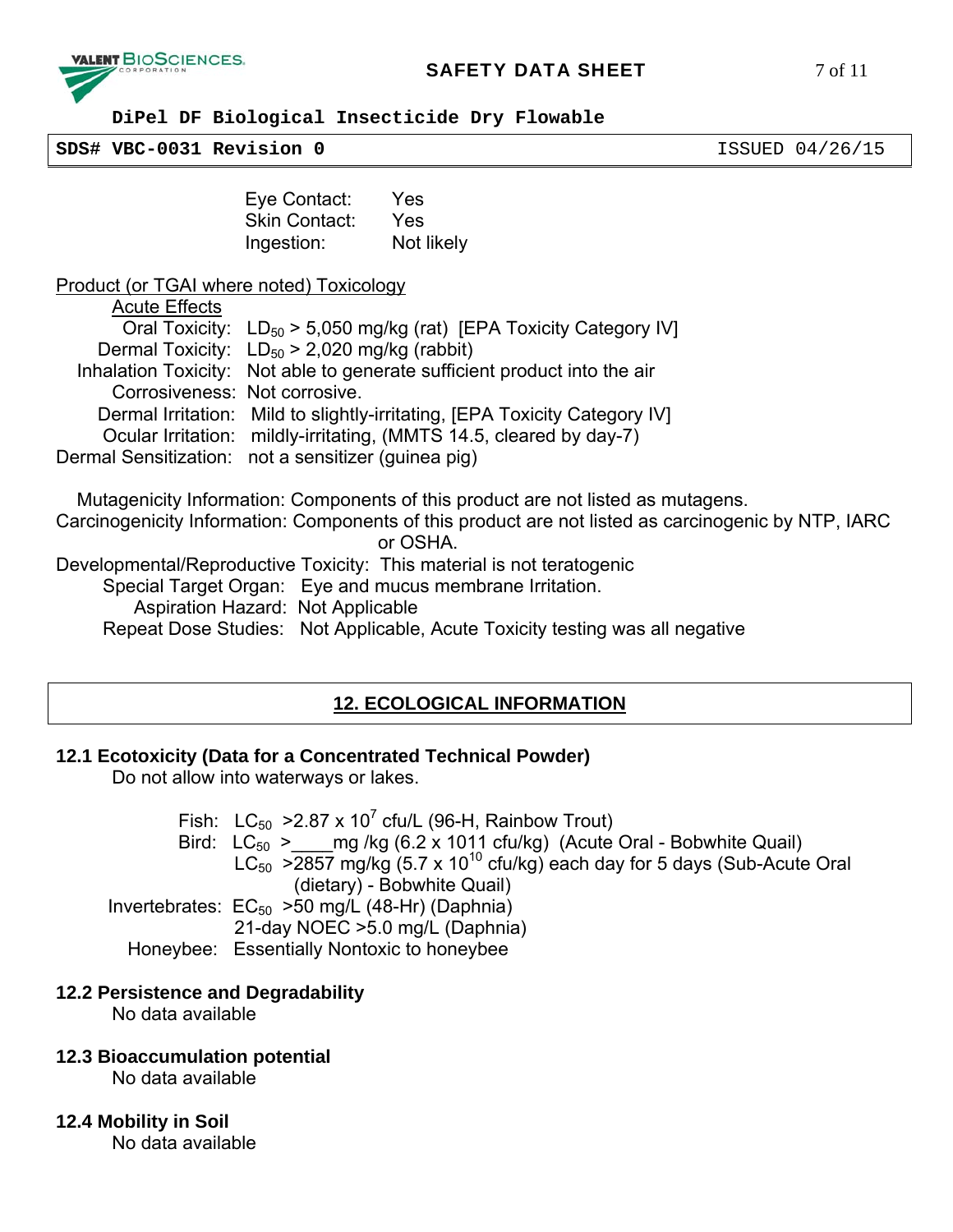

# **SAFETY DATA SHEET** 7 of 11

 **DiPel DF Biological Insecticide Dry Flowable** 

**SDS# VBC-0031 Revision 0** ISSUED 04/26/15

Eye Contact: Yes Skin Contact: Yes Ingestion: Not likely

Product (or TGAI where noted) Toxicology

| <b>Acute Effects</b>          |                                                                            |
|-------------------------------|----------------------------------------------------------------------------|
|                               | Oral Toxicity: $LD_{50} > 5,050$ mg/kg (rat) [EPA Toxicity Category IV]    |
|                               | Dermal Toxicity: $LD_{50} > 2,020$ mg/kg (rabbit)                          |
|                               | Inhalation Toxicity: Not able to generate sufficient product into the air  |
| Corrosiveness: Not corrosive. |                                                                            |
|                               | Dermal Irritation: Mild to slightly-irritating, JEPA Toxicity Category IV] |
|                               | Ocular Irritation: mildly-irritating, (MMTS 14.5, cleared by day-7)        |
|                               | Dermal Sensitization: not a sensitizer (guinea pig)                        |

 Mutagenicity Information: Components of this product are not listed as mutagens. Carcinogenicity Information: Components of this product are not listed as carcinogenic by NTP, IARC or OSHA. Developmental/Reproductive Toxicity: This material is not teratogenic Special Target Organ: Eye and mucus membrane Irritation. Aspiration Hazard: Not Applicable Repeat Dose Studies: Not Applicable, Acute Toxicity testing was all negative

# **12. ECOLOGICAL INFORMATION**

# **12.1 Ecotoxicity (Data for a Concentrated Technical Powder)**

Do not allow into waterways or lakes.

Fish:  $LC_{50}$  >2.87 x 10<sup>7</sup> cfu/L (96-H, Rainbow Trout) Bird:  $LC_{50}$  > mg/kg (6.2 x 1011 cfu/kg) (Acute Oral - Bobwhite Quail)  $LC_{50}$  >2857 mg/kg (5.7 x 10<sup>10</sup> cfu/kg) each day for 5 days (Sub-Acute Oral (dietary) - Bobwhite Quail) Invertebrates:  $EC_{50}$  >50 mg/L (48-Hr) (Daphnia) 21-day NOEC >5.0 mg/L (Daphnia) Honeybee: Essentially Nontoxic to honeybee

# **12.2 Persistence and Degradability**

No data available

# **12.3 Bioaccumulation potential**

No data available

# **12.4 Mobility in Soil**

No data available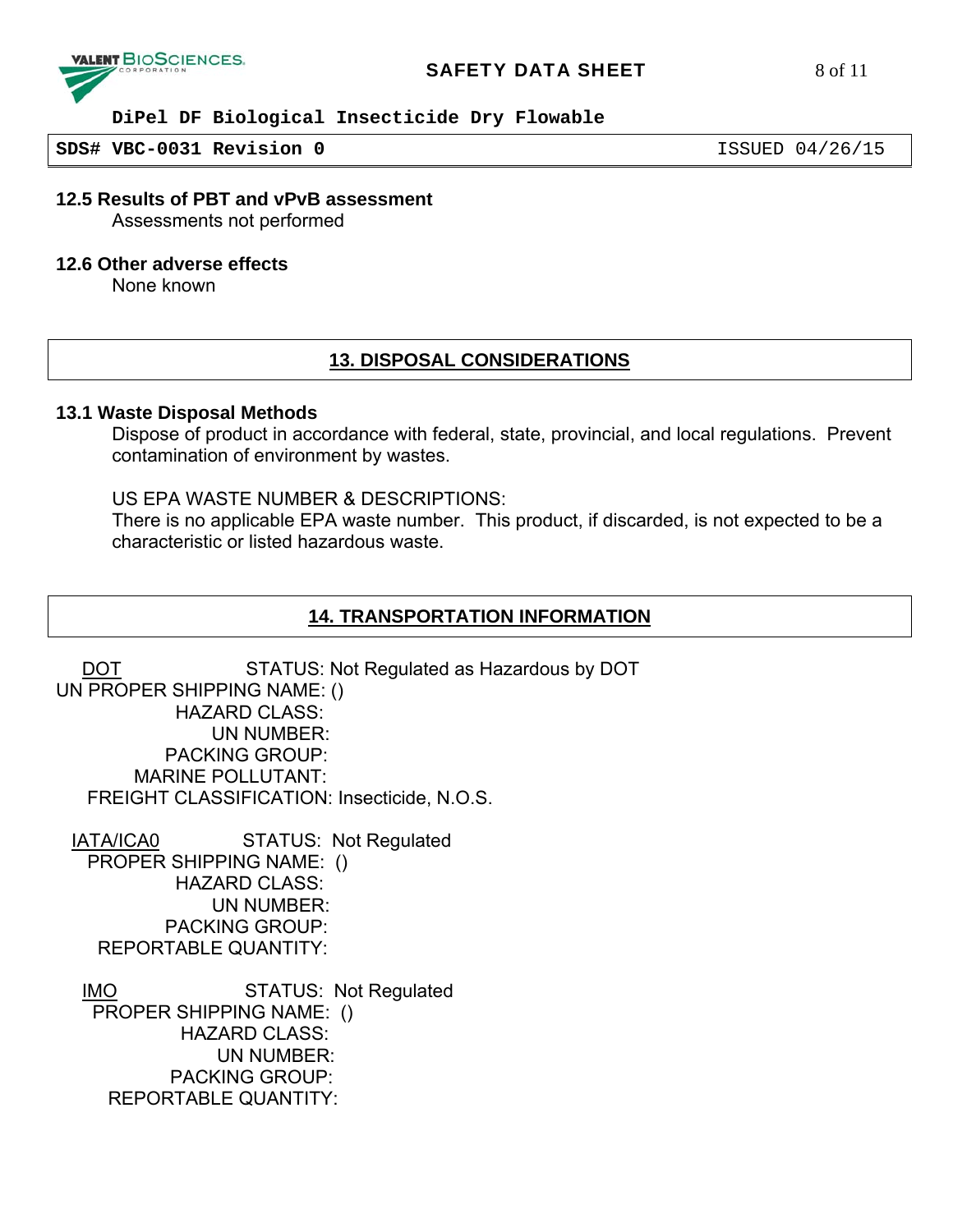

#### **SAFETY DATA SHEET** 8 of 11

## **DiPel DF Biological Insecticide Dry Flowable**

**SDS# VBC-0031 Revision 0** ISSUED 04/26/15

# **12.5 Results of PBT and vPvB assessment**

Assessments not performed

#### **12.6 Other adverse effects**

None known

# **13. DISPOSAL CONSIDERATIONS**

#### **13.1 Waste Disposal Methods**

Dispose of product in accordance with federal, state, provincial, and local regulations. Prevent contamination of environment by wastes.

#### US EPA WASTE NUMBER & DESCRIPTIONS:

There is no applicable EPA waste number. This product, if discarded, is not expected to be a characteristic or listed hazardous waste.

### **14. TRANSPORTATION INFORMATION**

DOT STATUS: Not Regulated as Hazardous by DOT UN PROPER SHIPPING NAME: () HAZARD CLASS: UN NUMBER: PACKING GROUP: MARINE POLLUTANT: FREIGHT CLASSIFICATION: Insecticide, N.O.S.

 IATA/ICA0 STATUS: Not Regulated PROPER SHIPPING NAME: () HAZARD CLASS: UN NUMBER: PACKING GROUP: REPORTABLE QUANTITY:

IMO STATUS: Not Regulated PROPER SHIPPING NAME: () HAZARD CLASS: UN NUMBER: PACKING GROUP: REPORTABLE QUANTITY: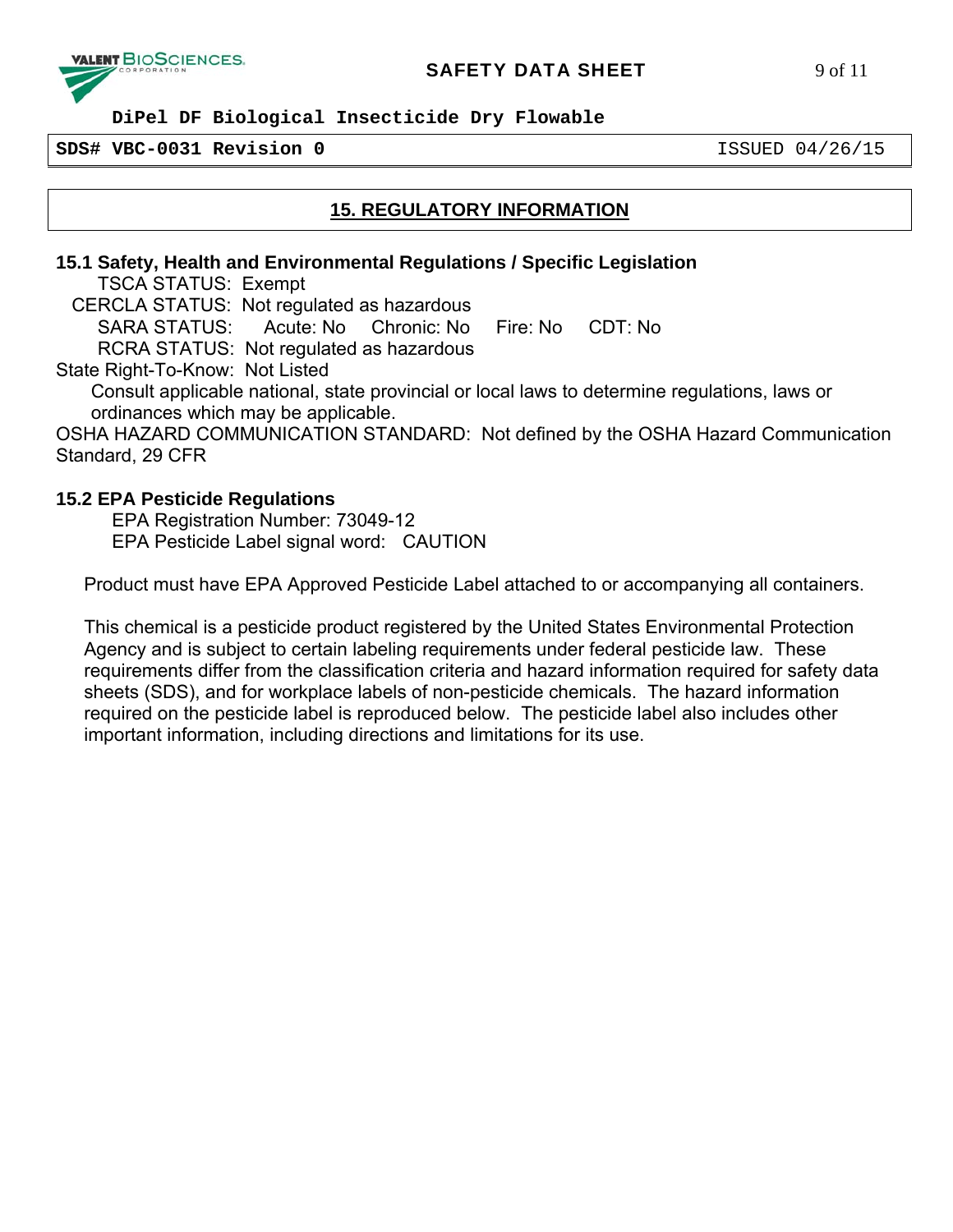

#### **SDS# VBC-0031 Revision 0** ISSUED 04/26/15

# **15. REGULATORY INFORMATION**

### **15.1 Safety, Health and Environmental Regulations / Specific Legislation**

TSCA STATUS: Exempt

CERCLA STATUS: Not regulated as hazardous

 SARA STATUS: Acute: No Chronic: No Fire: No CDT: No RCRA STATUS: Not regulated as hazardous

State Right-To-Know: Not Listed

Consult applicable national, state provincial or local laws to determine regulations, laws or ordinances which may be applicable.

OSHA HAZARD COMMUNICATION STANDARD: Not defined by the OSHA Hazard Communication Standard, 29 CFR

#### **15.2 EPA Pesticide Regulations**

 EPA Registration Number: 73049-12 EPA Pesticide Label signal word: CAUTION

Product must have EPA Approved Pesticide Label attached to or accompanying all containers.

This chemical is a pesticide product registered by the United States Environmental Protection Agency and is subject to certain labeling requirements under federal pesticide law. These requirements differ from the classification criteria and hazard information required for safety data sheets (SDS), and for workplace labels of non-pesticide chemicals. The hazard information required on the pesticide label is reproduced below. The pesticide label also includes other important information, including directions and limitations for its use.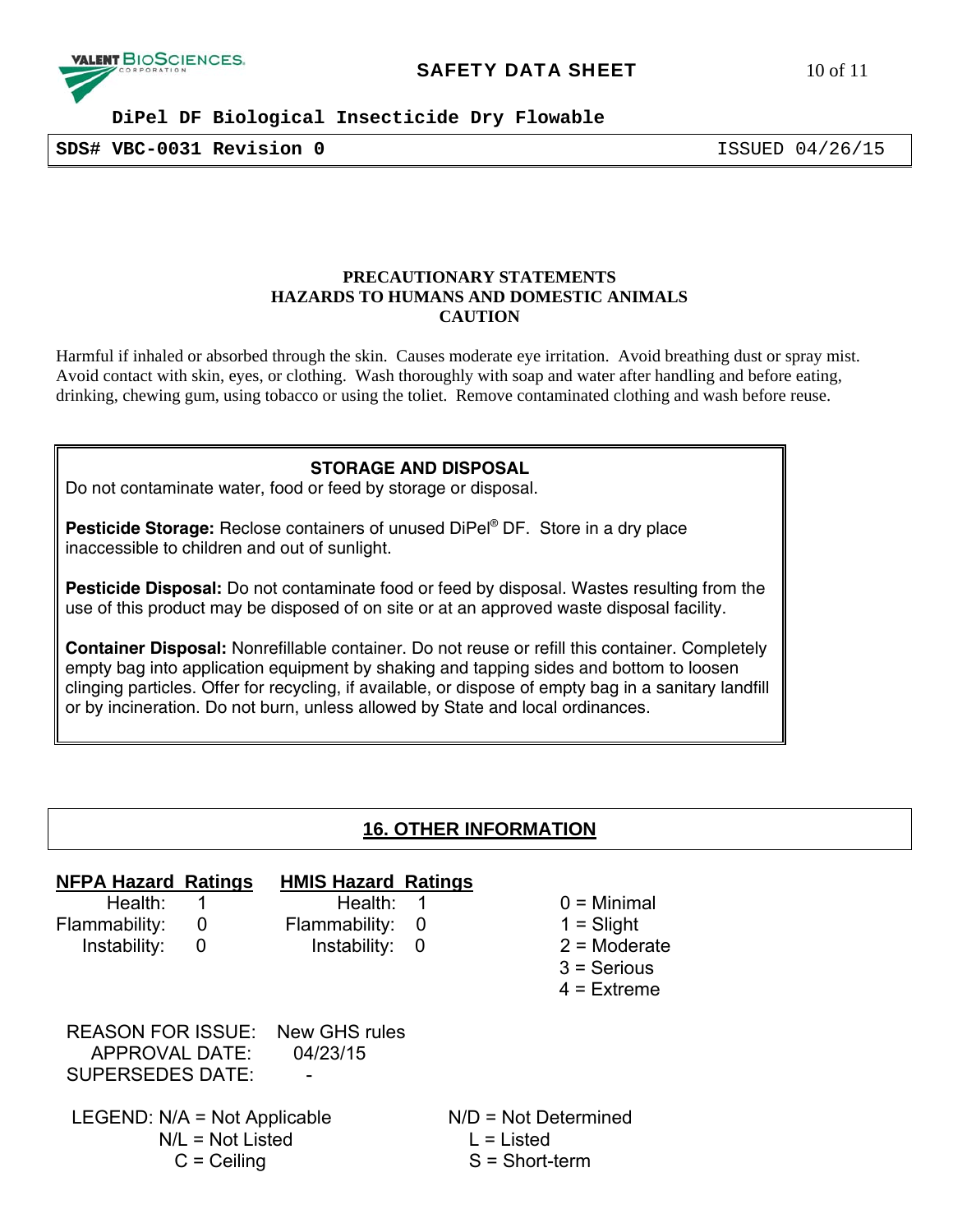

**SDS# VBC-0031 Revision 0** ISSUED 04/26/15

#### **PRECAUTIONARY STATEMENTS HAZARDS TO HUMANS AND DOMESTIC ANIMALS CAUTION**

Harmful if inhaled or absorbed through the skin. Causes moderate eye irritation. Avoid breathing dust or spray mist. Avoid contact with skin, eyes, or clothing. Wash thoroughly with soap and water after handling and before eating, drinking, chewing gum, using tobacco or using the toliet. Remove contaminated clothing and wash before reuse.

#### **STORAGE AND DISPOSAL**

Do not contaminate water, food or feed by storage or disposal.

**Pesticide Storage:** Reclose containers of unused DiPel® DF. Store in a dry place inaccessible to children and out of sunlight.

**Pesticide Disposal:** Do not contaminate food or feed by disposal. Wastes resulting from the use of this product may be disposed of on site or at an approved waste disposal facility.

**Container Disposal:** Nonrefillable container. Do not reuse or refill this container. Completely empty bag into application equipment by shaking and tapping sides and bottom to loosen clinging particles. Offer for recycling, if available, or dispose of empty bag in a sanitary landfill or by incineration. Do not burn, unless allowed by State and local ordinances.

# **16. OTHER INFORMATION**

| <b>NFPA Hazard Ratings</b><br>Health:<br>Flammability:<br>Instability: | 1<br>0<br>0                         | <b>HMIS Hazard Ratings</b><br>Health:<br>Flammability:<br>Instability: | -1<br>0<br>- 0 |                                                            | $0 =$ Minimal<br>$1 =$ Slight<br>$2 =$ Moderate<br>$3$ = Serious<br>$4$ = Extreme |
|------------------------------------------------------------------------|-------------------------------------|------------------------------------------------------------------------|----------------|------------------------------------------------------------|-----------------------------------------------------------------------------------|
| APPROVAL DATE:<br><b>SUPERSEDES DATE:</b>                              |                                     | <b>REASON FOR ISSUE: New GHS rules</b><br>04/23/15                     |                |                                                            |                                                                                   |
| LEGEND: $N/A$ = Not Applicable                                         | $N/L = Not$ Listed<br>$C =$ Ceiling |                                                                        |                | $N/D = Not Determined$<br>$L =$ Listed<br>$S = Short-term$ |                                                                                   |